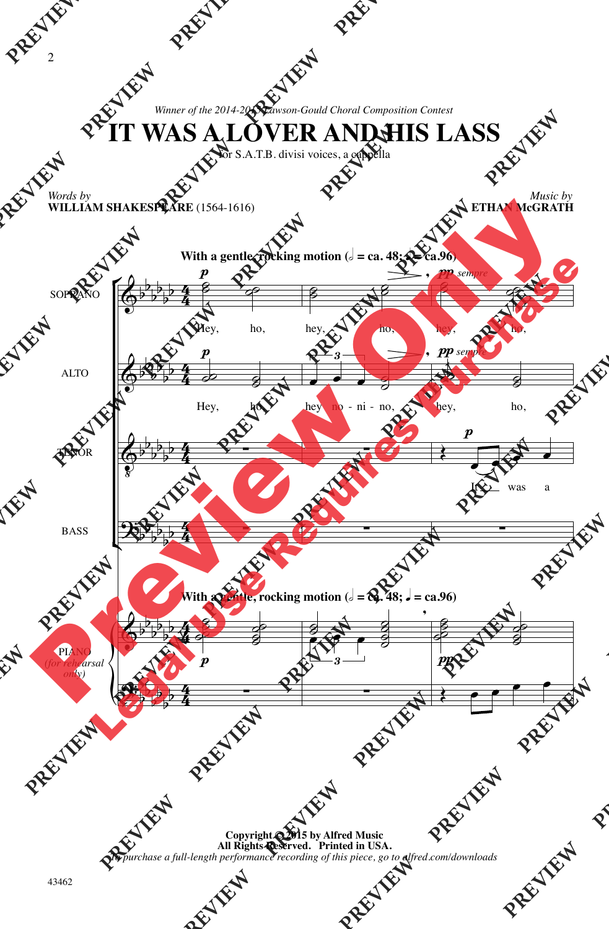*Winner of the 2014-2015 Lawson-Gould Choral Composition Contest*

**IT WAS A LOVER AND HIS LASS**

for S.A.T.B. divisi voices, a cappella

*Music by*

**ETHAN McGRATH**

*Words by* **WILLIAM SHAKESPEARE** (1564-1616)

 $\mathsf{K}$ ľ **With a gentle, rocking motion (** $\delta$  **= ca. 48;**  $\sigma$  **= ca.96)** With a gentle, rocking motion ( $\delta$  = ca. 48;  $\delta$  = ca.96) SOPRANO ALTO **TENOR** BASS **PIA** *(for rehearsal only)* 4  $\frac{4}{4}$ 4  $\frac{4}{4}$  $\overline{4}$  $\frac{4}{4}$  $\overline{4}$  $\frac{4}{4}$ 4  $\frac{4}{4}$ 4  $\frac{4}{4}$  $\overline{\Phi^{\flat}}$  $\mathbf{b}$  $\overline{b}$  $\frac{1}{2}$  $\frac{1}{2}$  $\frac{1}{2}$ Hey, p ho, hey, ho  $\ddot{\phantom{0}}$ hey, pp *sempre* ho,  $\overline{\mathbb{Q}^{\flat}}$  $\mathbf{b}$  $\overline{b}$  $\frac{1}{2}$  $\overline{\mathbf{b}}$  $\overline{b}$ Hey, p ho, hey 3  $- ni - no$ , !<br>, hey, pp semp<sup>r</sup> ho,  $\Phi$  $\overline{\mathcal{S}}$  $\overline{\mathbf{b}}$  $\mathbf{b}$  $\overline{b}$  $\frac{1}{2}$  $\overline{\mathbf{b}}$  $\frac{1}{2}$ It  $\boldsymbol{n}$ was a  $\mathbf{\mathcal{Y}}^{\mathbf{:}}_{\flat}$  $\overline{b}$  $\overline{b}$  $\overline{\mathbf{b}}$   $\frac{1}{24}$  . The set of  $\frac{1}{24}$  ,  $\frac{1}{24}$  ,  $\frac{1}{24}$  ,  $\frac{1}{24}$  ,  $\frac{1}{24}$  ,  $\frac{1}{24}$  ,  $\frac{1}{24}$  ,  $\frac{1}{24}$  ,  $\frac{1}{24}$  ,  $\frac{1}{24}$  ,  $\frac{1}{24}$  ,  $\frac{1}{24}$  ,  $\frac{1}{24}$  ,  $\frac{1}{24}$  ,  $\frac{1}{24}$  ,  $\$  $\overline{\Phi}$ b  $\overline{b}$ 6  $\overline{\mathbf{b}}$  $\frac{1}{2}$ 3  $\frac{1}{2}$ E  $\overline{\mathbf{S}}$ b<br>D  $\frac{1}{2}$  $\overline{b}$ p  $\blacksquare$  . The set of  $\blacksquare$ pp p<br>8 p 8  $\overline{\mathbf{z}}$ B<br>B<br>B  $\frac{1}{\infty}$  $\overline{\mathbf{g}}$  $8$  and  $9$  $\overline{\phantom{a}}$  $\overline{\mathbf{z}}$  $\overline{s}$  $\ddot{\cdot}$  , , , , R **PA**  $\breve{\mathbf{z}}$ d<br>8  $\frac{8}{9}$  8  $\frac{1}{8}$  $\frac{3}{2}$  ,  $\frac{3}{2}$  $\frac{8}{3}$  $\frac{8}{2}$  $\frac{1}{8}$  $\frac{8}{3}$  $\breve{\mathbf{z}}$ d<br>8  $\frac{1}{2}$  $\leftarrow$ **PREVIEWAS A LOVER**<br> **PREVIEWAS A LOVER**<br> **PREVIEWAS A LOVER**<br> **PREVIEWAS A LOVER**<br> **PREVIEWAY A PREVIEW**<br> **PREVIEWAY**<br> **PREVIEW**<br> **PREVIEW**<br> **PREVIEW**<br> **PREVIEW**<br> **PREVIEW**<br> **PREVIEW**<br> **PREVIEW**<br> **PREVIEW**<br> **PREVIEW**<br> **PREVIEWAS A LOVE**<br> **PREVIEWAS A LOVE**<br> **PREVIEW PREVIEW**<br> **PREVIEWAS A LOVE**<br> **PREVIEWAS A LOVE**<br> **PREVIEWAY**<br> **PREVIEWAS**<br> **PREVIEWAS**<br> **PREVIEWAS**<br> **PREVIEWAS**<br> **PREVIEWAS**<br> **PREVIEWAS**<br> **PREVIEWAS**<br> **PREVIEWAS**<br> **PR PREVIEW AND HIS L.<br>
IT WAS A LOVER AND HIS L.<br>
WHILIAM SHAKESPEARE** (1564-1616)<br>
WILLIAM SHAKESPEARE (1564-1616)<br>
WILLIAM SHAKESPEARE (1564-1616)<br>
WILLIAM SHAKESPEARE (1564-1616)<br>
PREVIEW PREVIEW PREVIEW PREVIEW PREVIEW PREVIEW **PREVIEW AND HIS 1**<br>
Words by the 2014-2015 Lanson Gould Cheral Composition Contains the Contact of the Contact of Contact of Contact of Contact of Contact of Contact of Contact of Contact of Contact of Contact of **PREVIEW SPACE AND HIS LASS**<br>
With a gentle, recitain distribution of a contact and the preview of a contact and the preview of a contact and previous previous previous previous previous previous previous previous previous **PREVIEW SERVER PREVIEW (ISON 1600)**<br>
With a gendre, recking motion ( $x = \alpha$ , 48)  $x = \alpha x$  and<br>
<br>
PREVIEW  $\frac{p}{2}$ <br>
<br>
PREVIEW **PREVIEW AND CONTRACT CONTRACT CONTRACT CONTRACT CONTRACT CONTRACT CONTRACT CONTRACT CONTRACT CON PREVIEW STAXES PEARE (1561-1616)**<br>
With a gentle, rocking motion ( $\frac{1}{2}$  ex. 48;  $\frac{1}{2}$  ex. 20)<br>
PREVIEW **PREVIEW <b>PREVIEW PREVIEW AND REVIEW AND REVIEW AND REVIEW AND REVIEW AND REVIEW AND REVIEW AND REVIEW AND PREVIEW A**<br> **PREVIEW A**<br> **PREVIEW PREVIEW PREVIEW PREVIEW PREVIEW PREVIEW PREVIEW PREVIEW PREVIEW PREVIEW PREVIEW PREVIEW PREVIEW PREVIEW PREVIEW PREVIEW PREVIEW PREVIEW PREVIEW PREVIEW PREVIEW PREVIEW PREVIEW PREVIEW PR PREVIEW ARE ALL PREVIEW ARE ALL PREVIEW ARE ALL PREVIEW ARE ALL PREVIEW PREVIEW ARE ALL PREVIEW AND PREVIEW AND SURFACE AND PREVIEW AND SURFACE AND CONTRACT CONTRACT CONTRACT CONTRACT CONTRACT CONTRACT CONTRACT CONTRACT PREVIEW ASSESSMENT AND REVIEW ASSESSMENT AND REVIEW ASSESSMENT PREVIEW ASSESSMENT AND PREVIEW AND SOLUTION AND ACTION OF THE PREVIEW OF this piece, go to alfred com/downloads PREVIEW A**<br> **PREVIEW PREVIEW**<br> **PREVIEW**<br> **PREVIEW**<br> **PREVIEW**<br> **PREVIEW**<br> **PREVIEW**<br> **PREVIEW**<br> **PREVIEW**<br> **PREVIEW**<br> **PREVIEW**<br> **PREVIEW**<br> **PREVIEW**<br> **PREVIEW**<br> **PREVIEW**<br> **PREVIEW**<br> **PREVIEW**<br> **PREVIEW**<br> **PREVIEW**<br> SUPRAND With a gentle, rocking motion ( $P = \alpha$ , 48,  $P = \alpha$ ) While gentle, rocking including ( $\frac{1}{2}$  expressed to  $\frac{1}{2}$  expressed to  $\frac{1}{2}$  expressed to  $\frac{1}{2}$  expressed to  $\frac{1}{2}$  expressed to  $\frac{1}{2}$  expressed to  $\frac{1}{2}$  expressed to  $\frac{1}{2}$  expressed to  $\frac{$ 

**Copyright © 2015 by Alfred Music All Rights Reserved. Printed in USA.** *To purchase a full-length performance recording of this piece, go to alfred.com/downloads*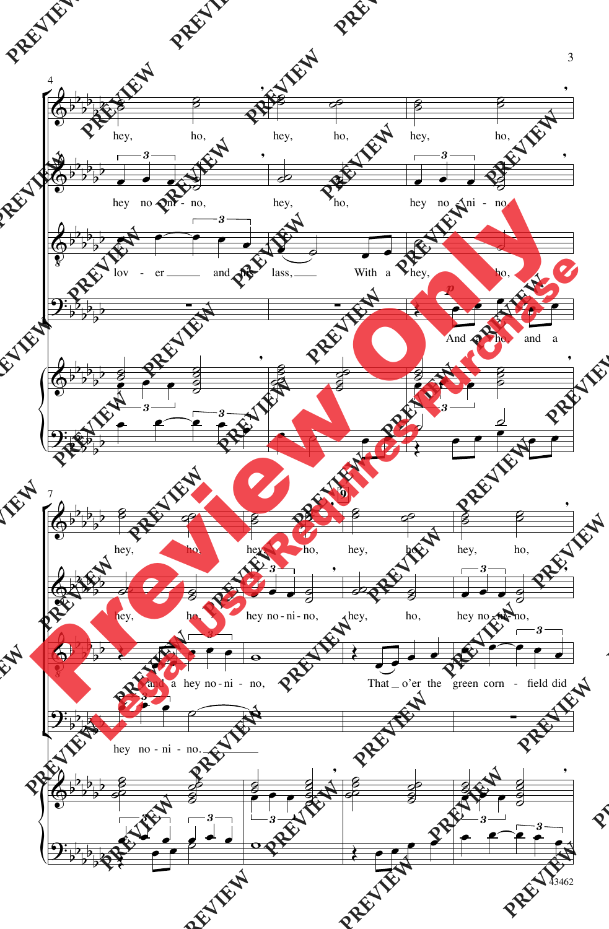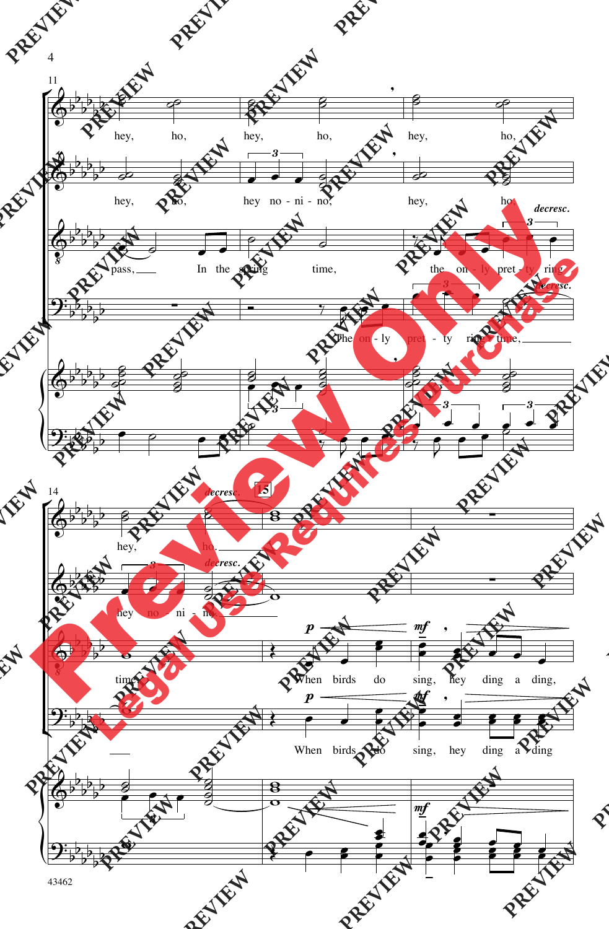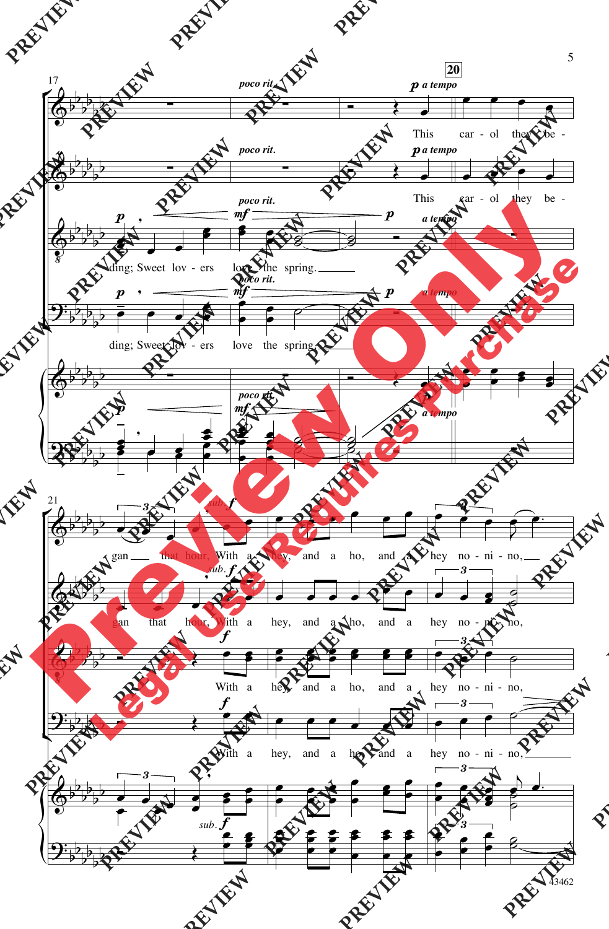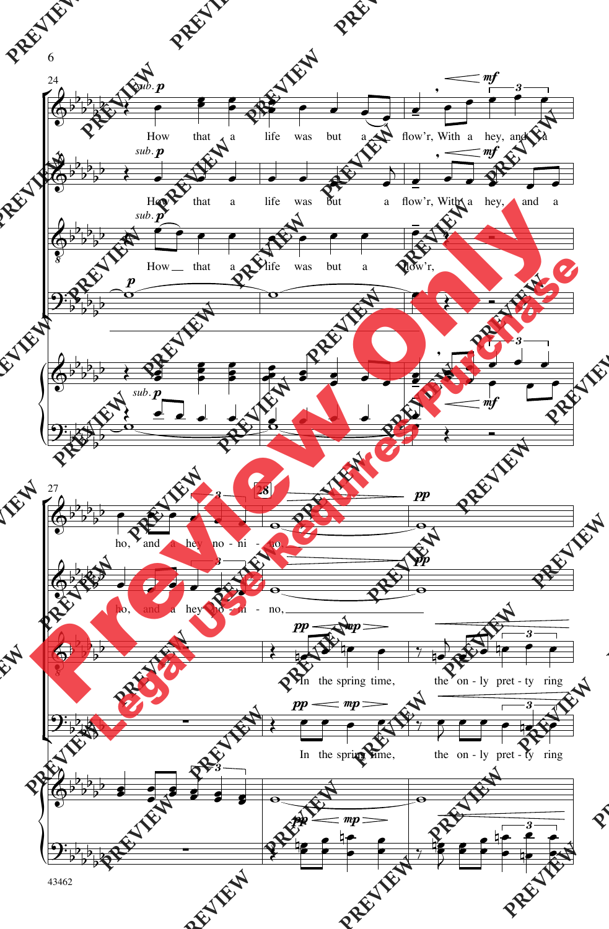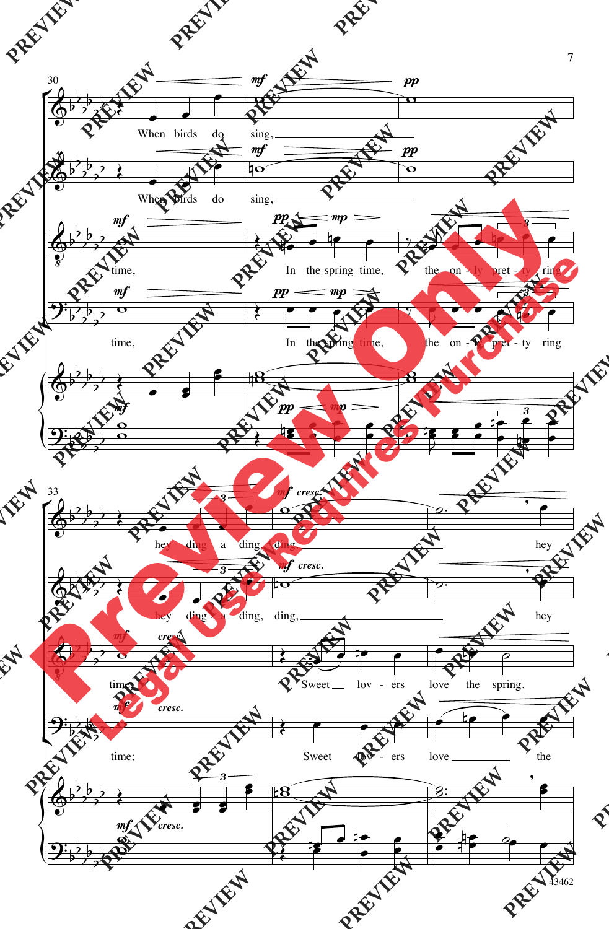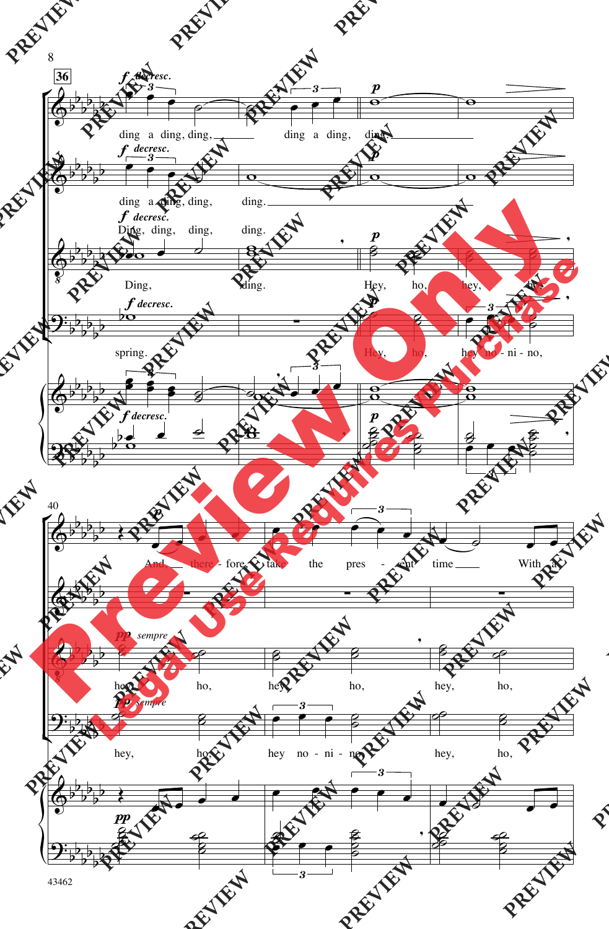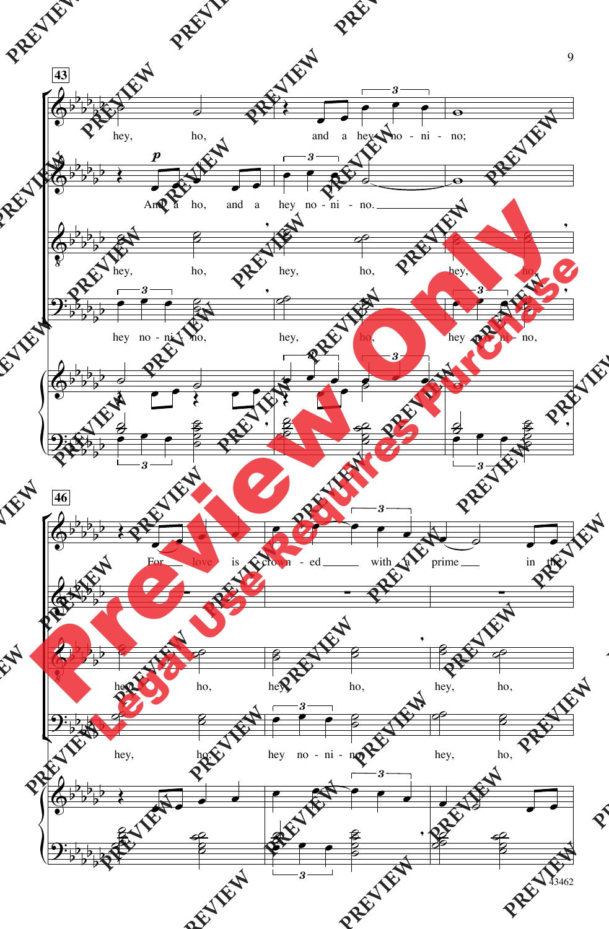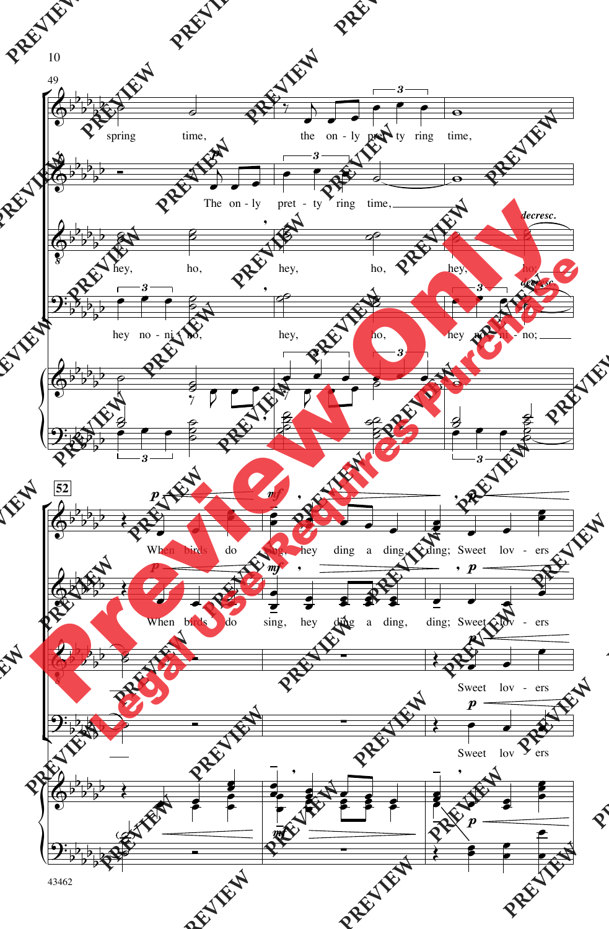